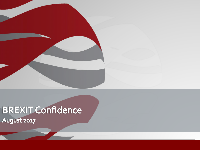

# BREXIT Confidence

**August 2017**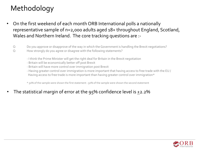## Methodology

- On the first weekend of each month ORB International polls a nationally representative sample of n=2,000 adults aged 18+ throughout England, Scotland, Wales and Northern Ireland. The core tracking questions are :-
	- Q Do you approve or disapprove of the way in which the Government is handling the Brexit negotiations? Q How strongly do you agree or disagree with the following statements?
		- I think the Prime Minister will get the right deal for Britain in the Brexit negotiation
		- Britain will be economically better off post Brexit
		- Britain will have more control over immigration post Brexit
		- Having greater control over immigration is more important that having access to free trade with the EU / Having access to free trade is more important than having greater control over immigration\*

\* 50% of the sample were shown the first statement : 50% of the sample were shown the second statement

The statistical margin of error at the  $95%$  confidence level is  $\pm$ 2.2%

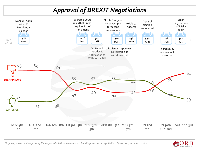### *Approval of BREXIT Negotiations*



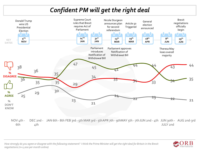#### *Confident PM will get the right deal*



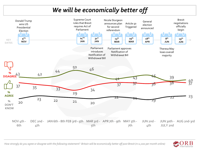#### *We will be economically better off*





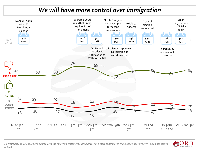#### *We will have more control over immigration*



*How strongly do you agree or disagree with the following statement? Britain will have more control over immigration post Brexit (n=2,000 per month online)*